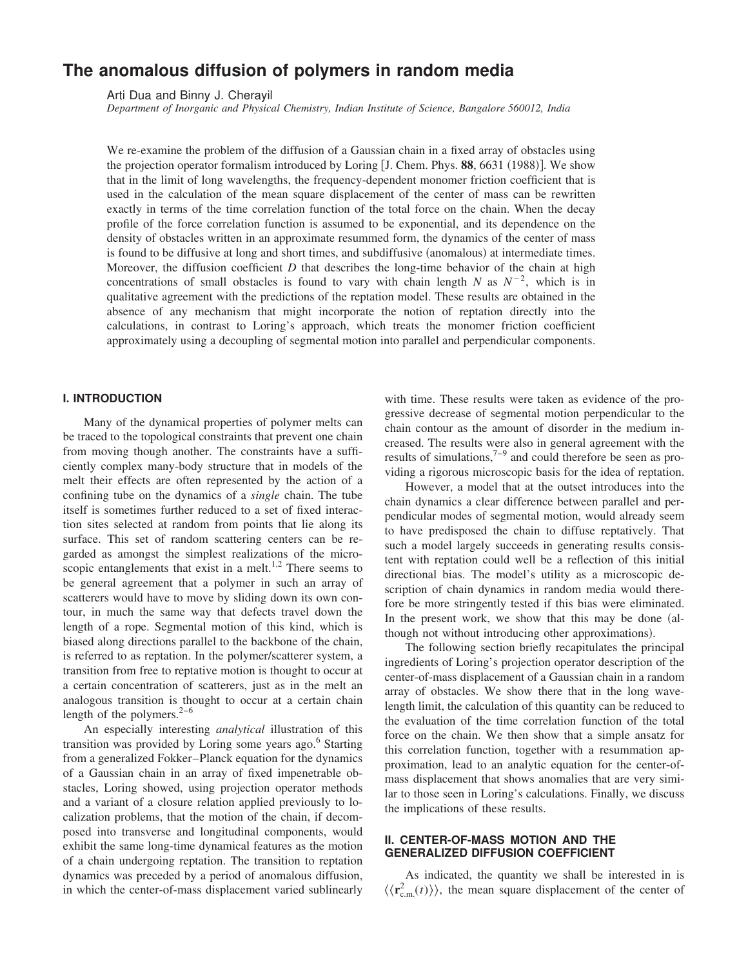# **The anomalous diffusion of polymers in random media**

Arti Dua and Binny J. Cherayil

*Department of Inorganic and Physical Chemistry, Indian Institute of Science, Bangalore 560012, India*

We re-examine the problem of the diffusion of a Gaussian chain in a fixed array of obstacles using the projection operator formalism introduced by Loring  $[J.$  Chem. Phys. **88**, 6631 (1988)]. We show that in the limit of long wavelengths, the frequency-dependent monomer friction coefficient that is used in the calculation of the mean square displacement of the center of mass can be rewritten exactly in terms of the time correlation function of the total force on the chain. When the decay profile of the force correlation function is assumed to be exponential, and its dependence on the density of obstacles written in an approximate resummed form, the dynamics of the center of mass is found to be diffusive at long and short times, and subdiffusive (anomalous) at intermediate times. Moreover, the diffusion coefficient *D* that describes the long-time behavior of the chain at high concentrations of small obstacles is found to vary with chain length *N* as  $N^{-2}$ , which is in qualitative agreement with the predictions of the reptation model. These results are obtained in the absence of any mechanism that might incorporate the notion of reptation directly into the calculations, in contrast to Loring's approach, which treats the monomer friction coefficient approximately using a decoupling of segmental motion into parallel and perpendicular components.

## **I. INTRODUCTION**

Many of the dynamical properties of polymer melts can be traced to the topological constraints that prevent one chain from moving though another. The constraints have a sufficiently complex many-body structure that in models of the melt their effects are often represented by the action of a confining tube on the dynamics of a *single* chain. The tube itself is sometimes further reduced to a set of fixed interaction sites selected at random from points that lie along its surface. This set of random scattering centers can be regarded as amongst the simplest realizations of the microscopic entanglements that exist in a melt.<sup>1,2</sup> There seems to be general agreement that a polymer in such an array of scatterers would have to move by sliding down its own contour, in much the same way that defects travel down the length of a rope. Segmental motion of this kind, which is biased along directions parallel to the backbone of the chain, is referred to as reptation. In the polymer/scatterer system, a transition from free to reptative motion is thought to occur at a certain concentration of scatterers, just as in the melt an analogous transition is thought to occur at a certain chain length of the polymers. $2-6$ 

An especially interesting *analytical* illustration of this transition was provided by Loring some years ago.<sup>6</sup> Starting from a generalized Fokker–Planck equation for the dynamics of a Gaussian chain in an array of fixed impenetrable obstacles, Loring showed, using projection operator methods and a variant of a closure relation applied previously to localization problems, that the motion of the chain, if decomposed into transverse and longitudinal components, would exhibit the same long-time dynamical features as the motion of a chain undergoing reptation. The transition to reptation dynamics was preceded by a period of anomalous diffusion, in which the center-of-mass displacement varied sublinearly

with time. These results were taken as evidence of the progressive decrease of segmental motion perpendicular to the chain contour as the amount of disorder in the medium increased. The results were also in general agreement with the results of simulations, $7-9$  and could therefore be seen as providing a rigorous microscopic basis for the idea of reptation.

However, a model that at the outset introduces into the chain dynamics a clear difference between parallel and perpendicular modes of segmental motion, would already seem to have predisposed the chain to diffuse reptatively. That such a model largely succeeds in generating results consistent with reptation could well be a reflection of this initial directional bias. The model's utility as a microscopic description of chain dynamics in random media would therefore be more stringently tested if this bias were eliminated. In the present work, we show that this may be done  $(aI-)$ though not without introducing other approximations).

The following section briefly recapitulates the principal ingredients of Loring's projection operator description of the center-of-mass displacement of a Gaussian chain in a random array of obstacles. We show there that in the long wavelength limit, the calculation of this quantity can be reduced to the evaluation of the time correlation function of the total force on the chain. We then show that a simple ansatz for this correlation function, together with a resummation approximation, lead to an analytic equation for the center-ofmass displacement that shows anomalies that are very similar to those seen in Loring's calculations. Finally, we discuss the implications of these results.

## **II. CENTER-OF-MASS MOTION AND THE GENERALIZED DIFFUSION COEFFICIENT**

As indicated, the quantity we shall be interested in is  $\langle \langle \mathbf{r}_{\text{c.m.}}^2(t) \rangle \rangle$ , the mean square displacement of the center of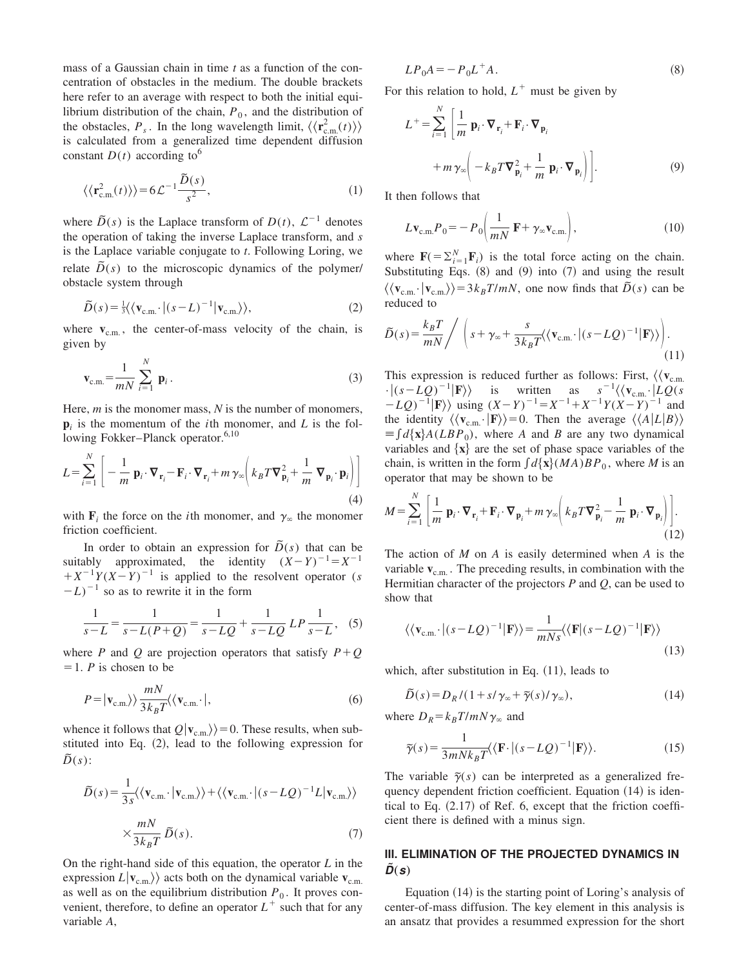mass of a Gaussian chain in time *t* as a function of the concentration of obstacles in the medium. The double brackets here refer to an average with respect to both the initial equilibrium distribution of the chain,  $P_0$ , and the distribution of the obstacles,  $P_s$ . In the long wavelength limit,  $\langle \langle \mathbf{r}_{\text{c.m.}}^2(t) \rangle \rangle$ is calculated from a generalized time dependent diffusion constant  $D(t)$  according to<sup>6</sup>

$$
\langle \langle \mathbf{r}_{\text{c.m.}}^2(t) \rangle \rangle = 6 \mathcal{L}^{-1} \frac{\tilde{D}(s)}{s^2},\tag{1}
$$

where  $\tilde{D}(s)$  is the Laplace transform of  $D(t)$ ,  $\mathcal{L}^{-1}$  denotes the operation of taking the inverse Laplace transform, and *s* is the Laplace variable conjugate to *t*. Following Loring, we relate  $\tilde{D}(s)$  to the microscopic dynamics of the polymer/ obstacle system through

$$
\widetilde{D}(s) = \frac{1}{3} \langle \langle \mathbf{v}_{\text{c.m.}} \cdot | (s - L)^{-1} | \mathbf{v}_{\text{c.m.}} \rangle \rangle, \tag{2}
$$

where  $v_{c.m.}$ , the center-of-mass velocity of the chain, is given by

$$
\mathbf{v}_{\text{c.m.}} = \frac{1}{mN} \sum_{i=1}^{N} \mathbf{p}_i.
$$
 (3)

Here, *m* is the monomer mass, *N* is the number of monomers,  $\mathbf{p}_i$  is the momentum of the *i*th monomer, and *L* is the following Fokker–Planck operator.<sup>6,10</sup>

$$
L = \sum_{i=1}^{N} \left[ -\frac{1}{m} \, \mathbf{p}_i \cdot \nabla_{\mathbf{r}_i} - \mathbf{F}_i \cdot \nabla_{\mathbf{r}_i} + m \, \gamma_\infty \bigg( k_B T \nabla_{\mathbf{p}_i}^2 + \frac{1}{m} \, \nabla_{\mathbf{p}_i} \cdot \mathbf{p}_i \bigg) \right]
$$
\n(4)

with  $\mathbf{F}_i$  the force on the *i*th monomer, and  $\gamma_\infty$  the monomer friction coefficient.

In order to obtain an expression for  $\overline{D}(s)$  that can be suitably approximated, the identity  $(X-Y)^{-1} = X^{-1}$  $+ X^{-1} Y (X - Y)^{-1}$  is applied to the resolvent operator (*s*  $-L$ <sup>-1</sup> so as to rewrite it in the form

$$
\frac{1}{s-L} = \frac{1}{s-L(P+Q)} = \frac{1}{s-LQ} + \frac{1}{s-LQ} LP \frac{1}{s-L},
$$
 (5)

where *P* and *Q* are projection operators that satisfy  $P+Q$  $=1.$  *P* is chosen to be

$$
P = |\mathbf{v}_{\text{c.m.}}\rangle\rangle \frac{mN}{3k_B T} \langle\langle \mathbf{v}_{\text{c.m.}} \cdot |,\tag{6}
$$

whence it follows that  $Q|\mathbf{v}_{\text{c.m.}}\rangle$  = 0. These results, when substituted into Eq.  $(2)$ , lead to the following expression for  $\tilde{D}(s)$ :

$$
\widetilde{D}(s) = \frac{1}{3s} \langle \langle \mathbf{v}_{\text{c.m.}} \cdot | \mathbf{v}_{\text{c.m.}} \rangle \rangle + \langle \langle \mathbf{v}_{\text{c.m.}} \cdot | (s - LQ)^{-1} L | \mathbf{v}_{\text{c.m.}} \rangle \rangle
$$

$$
\times \frac{mN}{3k_B T} \widetilde{D}(s). \tag{7}
$$

On the right-hand side of this equation, the operator *L* in the expression  $L|\mathbf{v}_{\text{c.m.}}\rangle$  acts both on the dynamical variable  $\mathbf{v}_{\text{c.m.}}$ as well as on the equilibrium distribution  $P_0$ . It proves convenient, therefore, to define an operator  $L^+$  such that for any variable *A*,

$$
LP_0 A = -P_0 L^+ A. \tag{8}
$$

For this relation to hold,  $L^+$  must be given by

$$
L^{+} = \sum_{i=1}^{N} \left[ \frac{1}{m} \mathbf{p}_{i} \cdot \nabla_{\mathbf{r}_{i}} + \mathbf{F}_{i} \cdot \nabla_{\mathbf{p}_{i}} + m \gamma_{\infty} \left( -k_{B} T \nabla_{\mathbf{p}_{i}}^{2} + \frac{1}{m} \mathbf{p}_{i} \cdot \nabla_{\mathbf{p}_{i}} \right) \right].
$$
 (9)

It then follows that

$$
L\mathbf{v}_{\text{c.m.}}P_0 = -P_0 \bigg(\frac{1}{mN} \mathbf{F} + \gamma_\infty \mathbf{v}_{\text{c.m.}}\bigg),\tag{10}
$$

where  $\mathbf{F}(\mathbf{=}\Sigma_{i=1}^N\mathbf{F}_i)$  is the total force acting on the chain. Substituting Eqs.  $(8)$  and  $(9)$  into  $(7)$  and using the result  $\langle \langle \mathbf{v}_{\text{c.m.}} \cdot | \mathbf{v}_{\text{c.m.}} \rangle \rangle = 3k_B T/mN$ , one now finds that  $\tilde{D}(s)$  can be reduced to

$$
\widetilde{D}(s) = \frac{k_B T}{mN} / \left( s + \gamma_{\infty} + \frac{s}{3k_B T} \langle \langle \mathbf{v}_{\text{c.m.}} \cdot | (s - LQ)^{-1} | \mathbf{F} \rangle \rangle \right).
$$
\n(11)

This expression is reduced further as follows: First,  $\langle \langle v_{\rm c.m.} \rangle$  $\cdot |(s-LQ)^{-1}|\mathbf{F}\rangle$  is written as  $s^{-1}\langle\langle \mathbf{v}_{\text{c.m.}}\cdot |LQ(s)\rangle\rangle$  $-LQ$ <sup>-1</sup> $|F\rangle$  using  $(X-Y)^{-1} = X^{-1} + X^{-1}Y(X-Y)^{-1}$  and the identity  $\langle \langle \mathbf{v}_{\text{c.m.}} \cdot | \mathbf{F} \rangle \rangle = 0$ . Then the average  $\langle \langle A | L | B \rangle \rangle$  $\equiv \int d\{x\} A(LBP_0)$ , where *A* and *B* are any two dynamical variables and  $\{x\}$  are the set of phase space variables of the chain, is written in the form  $\int d\{x\} (MA) BP_0$ , where *M* is an operator that may be shown to be

$$
M = \sum_{i=1}^{N} \left[ \frac{1}{m} \mathbf{p}_i \cdot \nabla_{\mathbf{r}_i} + \mathbf{F}_i \cdot \nabla_{\mathbf{p}_i} + m \gamma_{\infty} \left( k_B T \nabla_{\mathbf{p}_i}^2 - \frac{1}{m} \mathbf{p}_i \cdot \nabla_{\mathbf{p}_i} \right) \right].
$$
\n(12)

The action of *M* on *A* is easily determined when *A* is the variable  $v_{c.m.}$ . The preceding results, in combination with the Hermitian character of the projectors *P* and *Q*, can be used to show that

$$
\langle \langle \mathbf{v}_{\text{c.m.}} \cdot | (s - LQ)^{-1} | \mathbf{F} \rangle \rangle = \frac{1}{mNs} \langle \langle \mathbf{F} | (s - LQ)^{-1} | \mathbf{F} \rangle \rangle \tag{13}
$$

which, after substitution in Eq.  $(11)$ , leads to

$$
\tilde{D}(s) = D_R / (1 + s / \gamma_\infty + \tilde{\gamma}(s) / \gamma_\infty),\tag{14}
$$

where 
$$
D_R = k_B T / m N \gamma_\infty
$$
 and

$$
\tilde{\gamma}(s) = \frac{1}{3mNk_BT} \langle \langle \mathbf{F} \cdot | (s - LQ)^{-1} | \mathbf{F} \rangle \rangle.
$$
 (15)

The variable  $\tilde{\gamma}(s)$  can be interpreted as a generalized frequency dependent friction coefficient. Equation  $(14)$  is identical to Eq.  $(2.17)$  of Ref. 6, except that the friction coefficient there is defined with a minus sign.

# **III. ELIMINATION OF THE PROJECTED DYNAMICS IN**  $\ddot{D}(s)$

Equation  $(14)$  is the starting point of Loring's analysis of center-of-mass diffusion. The key element in this analysis is an ansatz that provides a resummed expression for the short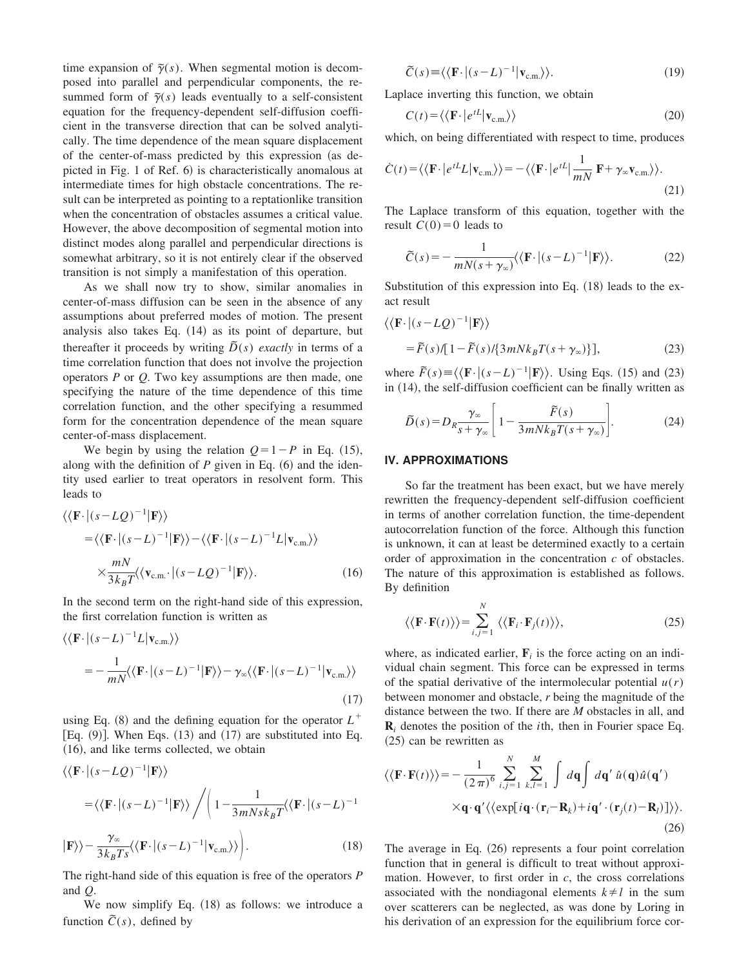time expansion of  $\tilde{\gamma}(s)$ . When segmental motion is decomposed into parallel and perpendicular components, the resummed form of  $\tilde{\gamma}(s)$  leads eventually to a self-consistent equation for the frequency-dependent self-diffusion coefficient in the transverse direction that can be solved analytically. The time dependence of the mean square displacement of the center-of-mass predicted by this expression (as depicted in Fig. 1 of Ref. 6) is characteristically anomalous at intermediate times for high obstacle concentrations. The result can be interpreted as pointing to a reptationlike transition when the concentration of obstacles assumes a critical value. However, the above decomposition of segmental motion into distinct modes along parallel and perpendicular directions is somewhat arbitrary, so it is not entirely clear if the observed transition is not simply a manifestation of this operation.

As we shall now try to show, similar anomalies in center-of-mass diffusion can be seen in the absence of any assumptions about preferred modes of motion. The present analysis also takes Eq.  $(14)$  as its point of departure, but thereafter it proceeds by writing  $\tilde{D}(s)$  *exactly* in terms of a time correlation function that does not involve the projection operators *P* or *Q*. Two key assumptions are then made, one specifying the nature of the time dependence of this time correlation function, and the other specifying a resummed form for the concentration dependence of the mean square center-of-mass displacement.

We begin by using the relation  $Q=1-P$  in Eq. (15), along with the definition of  $P$  given in Eq.  $(6)$  and the identity used earlier to treat operators in resolvent form. This leads to

$$
\langle \langle \mathbf{F} \cdot | (s - LQ)^{-1} | \mathbf{F} \rangle \rangle
$$
  
=\langle \langle \mathbf{F} \cdot | (s - L)^{-1} | \mathbf{F} \rangle \rangle - \langle \langle \mathbf{F} \cdot | (s - L)^{-1} L | \mathbf{v}\_{\text{c.m.}} \rangle \rangle  
\times \frac{mN}{3k\_B T} \langle \langle \mathbf{v}\_{\text{c.m.}} \cdot | (s - LQ)^{-1} | \mathbf{F} \rangle \rangle. (16)

In the second term on the right-hand side of this expression, the first correlation function is written as

$$
\langle \langle \mathbf{F} \cdot | (s - L)^{-1} L | \mathbf{v}_{\text{c.m.}} \rangle \rangle
$$
  
=  $-\frac{1}{mN} \langle \langle \mathbf{F} \cdot | (s - L)^{-1} | \mathbf{F} \rangle \rangle - \gamma_{\infty} \langle \langle \mathbf{F} \cdot | (s - L)^{-1} | \mathbf{v}_{\text{c.m.}} \rangle \rangle$  (17)

using Eq.  $(8)$  and the defining equation for the operator  $L^+$ [Eq.  $(9)$ ]. When Eqs.  $(13)$  and  $(17)$  are substituted into Eq.  $(16)$ , and like terms collected, we obtain

$$
\langle \langle \mathbf{F} \cdot | (s - LQ)^{-1} | \mathbf{F} \rangle \rangle
$$
  
=\langle \langle \mathbf{F} \cdot | (s - L)^{-1} | \mathbf{F} \rangle \rangle / \langle 1 - \frac{1}{3mNsk\_BT} \langle \langle \mathbf{F} \cdot | (s - L)^{-1} | \mathbf{F} \rangle \rangle - \frac{\gamma\_{\infty}}{3k\_BT} \langle \langle \mathbf{F} \cdot | (s - L)^{-1} | \mathbf{v}\_{\text{c.m.}} \rangle \rangle ). \tag{18}

The right-hand side of this equation is free of the operators *P* and *Q*.

We now simplify Eq.  $(18)$  as follows: we introduce a function  $\tilde{C}(s)$ , defined by

$$
\widetilde{C}(s) \equiv \langle \langle \mathbf{F} \cdot | (s - L)^{-1} | \mathbf{v}_{\text{c.m.}} \rangle \rangle. \tag{19}
$$

Laplace inverting this function, we obtain

$$
C(t) = \langle \langle \mathbf{F} \cdot | e^{tL} | \mathbf{v}_{\text{c.m.}} \rangle \rangle \tag{20}
$$

which, on being differentiated with respect to time, produces

$$
\dot{C}(t) = \langle \langle \mathbf{F} \cdot | e^{tL} L | \mathbf{v}_{\text{c.m.}} \rangle \rangle = - \langle \langle \mathbf{F} \cdot | e^{tL} | \frac{1}{mN} \mathbf{F} + \gamma_{\infty} \mathbf{v}_{\text{c.m.}} \rangle \rangle.
$$
\n(21)

The Laplace transform of this equation, together with the result  $C(0)=0$  leads to

$$
\widetilde{C}(s) = -\frac{1}{mN(s+\gamma_{\infty})} \langle \langle \mathbf{F} \cdot | (s-L)^{-1} | \mathbf{F} \rangle \rangle.
$$
 (22)

Substitution of this expression into Eq.  $(18)$  leads to the exact result

$$
\langle \langle \mathbf{F} \cdot | (s - LQ)^{-1} | \mathbf{F} \rangle \rangle
$$
  
=  $\tilde{F}(s) / [1 - \tilde{F}(s) / \{3mNk_B T(s + \gamma_{\infty})\}],$  (23)

where  $\widetilde{F}(s) = \langle \langle \mathbf{F} \cdot | (s-L)^{-1} | \mathbf{F} \rangle \rangle$ . Using Eqs. (15) and (23) in  $(14)$ , the self-diffusion coefficient can be finally written as

$$
\widetilde{D}(s) = D_R \frac{\gamma_{\infty}}{s + \gamma_{\infty}} \left[ 1 - \frac{\widetilde{F}(s)}{3mNk_B T(s + \gamma_{\infty})} \right].
$$
\n(24)

### **IV. APPROXIMATIONS**

So far the treatment has been exact, but we have merely rewritten the frequency-dependent self-diffusion coefficient in terms of another correlation function, the time-dependent autocorrelation function of the force. Although this function is unknown, it can at least be determined exactly to a certain order of approximation in the concentration *c* of obstacles. The nature of this approximation is established as follows. By definition

$$
\langle \langle \mathbf{F} \cdot \mathbf{F}(t) \rangle \rangle = \sum_{i,j=1}^{N} \langle \langle \mathbf{F}_{i} \cdot \mathbf{F}_{j}(t) \rangle \rangle, \tag{25}
$$

where, as indicated earlier,  $\mathbf{F}_i$  is the force acting on an individual chain segment. This force can be expressed in terms of the spatial derivative of the intermolecular potential  $u(r)$ between monomer and obstacle, *r* being the magnitude of the distance between the two. If there are *M* obstacles in all, and **R***<sup>i</sup>* denotes the position of the *i*th, then in Fourier space Eq.  $(25)$  can be rewritten as

$$
\langle \langle \mathbf{F} \cdot \mathbf{F}(t) \rangle \rangle = -\frac{1}{(2\pi)^6} \sum_{i,j=1}^N \sum_{k,l=1}^M \int d\mathbf{q} \int d\mathbf{q}' \, \hat{u}(\mathbf{q}) \hat{u}(\mathbf{q}')
$$
  
× $\mathbf{q} \cdot \mathbf{q}' \langle \langle \exp[i\mathbf{q} \cdot (\mathbf{r}_i - \mathbf{R}_k) + i\mathbf{q}' \cdot (\mathbf{r}_j(t) - \mathbf{R}_l) ] \rangle \rangle.$  (26)

The average in Eq.  $(26)$  represents a four point correlation function that in general is difficult to treat without approximation. However, to first order in *c*, the cross correlations associated with the nondiagonal elements  $k \neq l$  in the sum over scatterers can be neglected, as was done by Loring in his derivation of an expression for the equilibrium force cor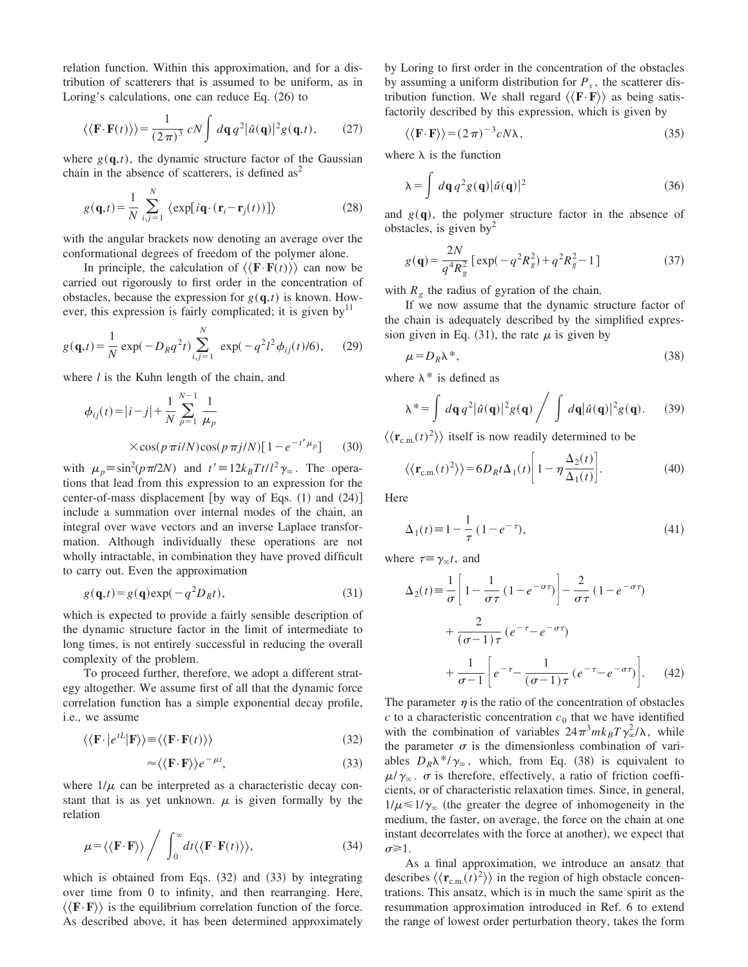relation function. Within this approximation, and for a distribution of scatterers that is assumed to be uniform, as in Loring's calculations, one can reduce Eq.  $(26)$  to

$$
\langle \langle \mathbf{F} \cdot \mathbf{F}(t) \rangle \rangle = \frac{1}{(2\pi)^3} \ cN \int d\mathbf{q} \ q^2 |\hat{u}(\mathbf{q})|^2 g(\mathbf{q}, t), \qquad (27)
$$

where  $g(\mathbf{q},t)$ , the dynamic structure factor of the Gaussian chain in the absence of scatterers, is defined  $as<sup>2</sup>$ 

$$
g(\mathbf{q},t) = \frac{1}{N} \sum_{i,j=1}^{N} \left\langle \exp[i\mathbf{q} \cdot (\mathbf{r}_i - \mathbf{r}_j(t))] \right\rangle
$$
 (28)

with the angular brackets now denoting an average over the conformational degrees of freedom of the polymer alone.

In principle, the calculation of  $\langle \langle \mathbf{F} \cdot \mathbf{F}(t) \rangle \rangle$  can now be carried out rigorously to first order in the concentration of obstacles, because the expression for  $g(\mathbf{q},t)$  is known. However, this expression is fairly complicated; it is given by  $\mathbf{y}^{\text{II}}$ 

$$
g(\mathbf{q},t) = \frac{1}{N} \exp(-D_R q^2 t) \sum_{i,j=1}^{N} \exp(-q^2 l^2 \phi_{ij}(t) / 6), \quad (29)
$$

where *l* is the Kuhn length of the chain, and

$$
\phi_{ij}(t) = |i - j| + \frac{1}{N} \sum_{p=1}^{N-1} \frac{1}{\mu_p}
$$
  
×cos(p \pi i/N)cos(p \pi j/N)[1 - e<sup>-t' \mu\_p</sup>] (30)

with  $\mu_p \equiv \sin^2(p\pi/2N)$  and  $t' \equiv 12k_B T t/l^2 \gamma_\infty$ . The operations that lead from this expression to an expression for the center-of-mass displacement [by way of Eqs.  $(1)$  and  $(24)$ ] include a summation over internal modes of the chain, an integral over wave vectors and an inverse Laplace transformation. Although individually these operations are not wholly intractable, in combination they have proved difficult to carry out. Even the approximation

$$
g(\mathbf{q},t) = g(\mathbf{q})\exp(-q^2D_Rt),
$$
\n(31)

which is expected to provide a fairly sensible description of the dynamic structure factor in the limit of intermediate to long times, is not entirely successful in reducing the overall complexity of the problem.

To proceed further, therefore, we adopt a different strategy altogether. We assume first of all that the dynamic force correlation function has a simple exponential decay profile, i.e., we assume

$$
\langle \langle \mathbf{F} \cdot | e^{tL} | \mathbf{F} \rangle \rangle \equiv \langle \langle \mathbf{F} \cdot \mathbf{F}(t) \rangle \rangle \tag{32}
$$

$$
\approx \langle \langle \mathbf{F} \cdot \mathbf{F} \rangle \rangle e^{-\mu t},\tag{33}
$$

where  $1/\mu$  can be interpreted as a characteristic decay constant that is as yet unknown.  $\mu$  is given formally by the relation

$$
\mu = \langle \langle \mathbf{F} \cdot \mathbf{F} \rangle \rangle \bigg/ \int_0^\infty dt \langle \langle \mathbf{F} \cdot \mathbf{F}(t) \rangle \rangle, \tag{34}
$$

which is obtained from Eqs.  $(32)$  and  $(33)$  by integrating over time from 0 to infinity, and then rearranging. Here,  $\langle \langle \mathbf{F} \cdot \mathbf{F} \rangle \rangle$  is the equilibrium correlation function of the force. As described above, it has been determined approximately by Loring to first order in the concentration of the obstacles by assuming a uniform distribution for  $P_s$ , the scatterer distribution function. We shall regard  $\langle \langle \mathbf{F} \cdot \mathbf{F} \rangle \rangle$  as being satisfactorily described by this expression, which is given by

$$
\langle \langle \mathbf{F} \cdot \mathbf{F} \rangle \rangle = (2\,\pi)^{-3} c N \lambda,\tag{35}
$$

where  $\lambda$  is the function

$$
\lambda = \int d\mathbf{q} q^2 g(\mathbf{q}) |\hat{u}(\mathbf{q})|^2 \tag{36}
$$

and  $g(\mathbf{q})$ , the polymer structure factor in the absence of obstacles, is given by  $2^2$ 

$$
g(\mathbf{q}) = \frac{2N}{q^4 R_g^2} \left[ \exp(-q^2 R_g^2) + q^2 R_g^2 - 1 \right]
$$
 (37)

with  $R_g$  the radius of gyration of the chain.

If we now assume that the dynamic structure factor of the chain is adequately described by the simplified expression given in Eq. (31), the rate  $\mu$  is given by

$$
\mu = D_R \lambda^*,\tag{38}
$$

where  $\lambda^*$  is defined as

$$
\lambda^* = \int d\mathbf{q} q^2 |\hat{u}(\mathbf{q})|^2 g(\mathbf{q}) \bigg/ \int d\mathbf{q} |\hat{u}(\mathbf{q})|^2 g(\mathbf{q}). \quad (39)
$$

 $\langle \langle \mathbf{r}_{\text{c.m.}}(t) \rangle \rangle$  itself is now readily determined to be

$$
\langle \langle \mathbf{r}_{\text{c.m.}}(t)^2 \rangle \rangle = 6D_R t \Delta_1(t) \left[ 1 - \eta \frac{\Delta_2(t)}{\Delta_1(t)} \right]. \tag{40}
$$

Here

$$
\Delta_1(t) = 1 - \frac{1}{\tau} (1 - e^{-\tau}),\tag{41}
$$

where  $\tau \equiv \gamma_{\infty} t$ , and

$$
\Delta_2(t) \equiv \frac{1}{\sigma} \left[ 1 - \frac{1}{\sigma \tau} \left( 1 - e^{-\sigma \tau} \right) \right] - \frac{2}{\sigma \tau} \left( 1 - e^{-\sigma \tau} \right)
$$

$$
+ \frac{2}{(\sigma - 1) \tau} \left( e^{-\tau} - e^{-\sigma \tau} \right)
$$

$$
+ \frac{1}{\sigma - 1} \left[ e^{-\tau} - \frac{1}{(\sigma - 1) \tau} \left( e^{-\tau} - e^{-\sigma \tau} \right) \right]. \tag{42}
$$

The parameter  $\eta$  is the ratio of the concentration of obstacles  $c$  to a characteristic concentration  $c_0$  that we have identified with the combination of variables  $24\pi^3 m k_B T \gamma_\infty^2 / \lambda$ , while the parameter  $\sigma$  is the dimensionless combination of variables  $D_R\lambda^*/\gamma_\infty$ , which, from Eq. (38) is equivalent to  $\mu/\gamma_{\infty}$ .  $\sigma$  is therefore, effectively, a ratio of friction coefficients, or of characteristic relaxation times. Since, in general,  $1/\mu \leq 1/\gamma_{\infty}$  (the greater the degree of inhomogeneity in the medium, the faster, on average, the force on the chain at one instant decorrelates with the force at another), we expect that  $\sigma \geq 1$ .

As a final approximation, we introduce an ansatz that describes  $\langle \langle \mathbf{r}_{\text{c.m.}}(t)^2 \rangle \rangle$  in the region of high obstacle concentrations. This ansatz, which is in much the same spirit as the resummation approximation introduced in Ref. 6 to extend the range of lowest order perturbation theory, takes the form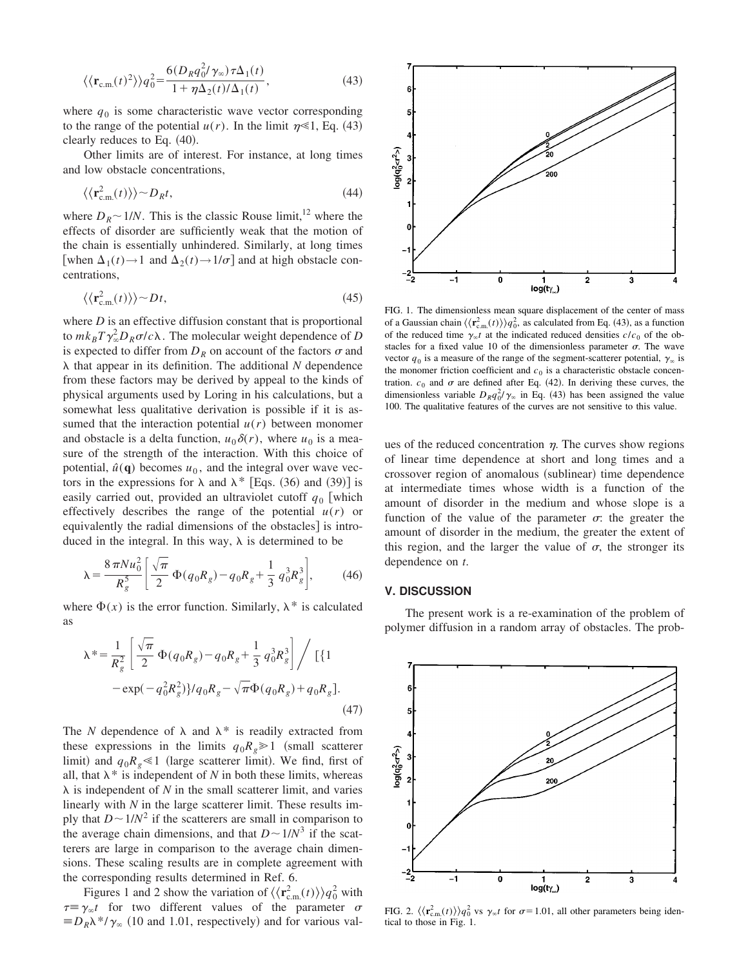$$
\langle \langle \mathbf{r}_{\text{c.m.}}(t)^2 \rangle \rangle q_0^2 = \frac{6(D_R q_0^2 / \gamma_\infty) \tau \Delta_1(t)}{1 + \eta \Delta_2(t) / \Delta_1(t)},\tag{43}
$$

where  $q_0$  is some characteristic wave vector corresponding to the range of the potential  $u(r)$ . In the limit  $\eta \le 1$ , Eq. (43) clearly reduces to Eq.  $(40)$ .

Other limits are of interest. For instance, at long times and low obstacle concentrations,

$$
\langle \langle \mathbf{r}_{\text{c.m.}}^2(t) \rangle \rangle \sim D_R t,\tag{44}
$$

where  $D_R \sim 1/N$ . This is the classic Rouse limit,<sup>12</sup> where the effects of disorder are sufficiently weak that the motion of the chain is essentially unhindered. Similarly, at long times [when  $\Delta_1(t) \rightarrow 1$  and  $\Delta_2(t) \rightarrow 1/\sigma$ ] and at high obstacle concentrations,

$$
\langle \langle \mathbf{r}_{\text{c.m.}}^2(t) \rangle \rangle \sim Dt,\tag{45}
$$

where *D* is an effective diffusion constant that is proportional to  $mk_B T \gamma_{\infty}^2 D_R \sigma/c\lambda$ . The molecular weight dependence of *D* is expected to differ from  $D_R$  on account of the factors  $\sigma$  and  $\lambda$  that appear in its definition. The additional *N* dependence from these factors may be derived by appeal to the kinds of physical arguments used by Loring in his calculations, but a somewhat less qualitative derivation is possible if it is assumed that the interaction potential  $u(r)$  between monomer and obstacle is a delta function,  $u_0 \delta(r)$ , where  $u_0$  is a measure of the strength of the interaction. With this choice of potential,  $\hat{u}(\mathbf{q})$  becomes  $u_0$ , and the integral over wave vectors in the expressions for  $\lambda$  and  $\lambda^*$  [Eqs. (36) and (39)] is easily carried out, provided an ultraviolet cutoff  $q_0$  [which effectively describes the range of the potential  $u(r)$  or equivalently the radial dimensions of the obstacles] is introduced in the integral. In this way,  $\lambda$  is determined to be

$$
\lambda = \frac{8 \pi N u_0^2}{R_g^5} \left[ \frac{\sqrt{\pi}}{2} \Phi(q_0 R_g) - q_0 R_g + \frac{1}{3} q_0^3 R_g^3 \right],\tag{46}
$$

where  $\Phi(x)$  is the error function. Similarly,  $\lambda^*$  is calculated as

$$
\lambda^* = \frac{1}{R_g^2} \left[ \frac{\sqrt{\pi}}{2} \Phi(q_0 R_g) - q_0 R_g + \frac{1}{3} q_0^3 R_g^3 \right] / \left[ \{ 1 - \exp(-q_0^2 R_g^2) \} / q_0 R_g - \sqrt{\pi} \Phi(q_0 R_g) + q_0 R_g \right].
$$
\n(47)

The *N* dependence of  $\lambda$  and  $\lambda^*$  is readily extracted from these expressions in the limits  $q_0R_\rho \geq 1$  (small scatterer limit) and  $q_0R_g \ll 1$  (large scatterer limit). We find, first of all, that  $\lambda^*$  is independent of *N* in both these limits, whereas  $\lambda$  is independent of *N* in the small scatterer limit, and varies linearly with *N* in the large scatterer limit. These results imply that  $D \sim 1/N^2$  if the scatterers are small in comparison to the average chain dimensions, and that  $D \sim 1/N^3$  if the scatterers are large in comparison to the average chain dimensions. These scaling results are in complete agreement with the corresponding results determined in Ref. 6.

Figures 1 and 2 show the variation of  $\langle \langle \mathbf{r}_{\text{c.m.}}^2(t) \rangle \rangle q_0^2$  with  $\tau \equiv \gamma_{\infty} t$  for two different values of the parameter  $\sigma$  $\equiv D_R \lambda^* / \gamma_\infty$  (10 and 1.01, respectively) and for various val-



FIG. 1. The dimensionless mean square displacement of the center of mass of a Gaussian chain  $\langle \langle \mathbf{r}_{\text{c.m.}}^2(t) \rangle \rangle q_0^2$ , as calculated from Eq. (43), as a function of the reduced time  $\gamma_{\alpha}t$  at the indicated reduced densities  $c/c_0$  of the obstacles for a fixed value 10 of the dimensionless parameter  $\sigma$ . The wave vector  $q_0$  is a measure of the range of the segment-scatterer potential,  $\gamma_\infty$  is the monomer friction coefficient and  $c_0$  is a characteristic obstacle concentration.  $c_0$  and  $\sigma$  are defined after Eq. (42). In deriving these curves, the dimensionless variable  $D_R q_0^2 / \gamma_\infty$  in Eq. (43) has been assigned the value 100. The qualitative features of the curves are not sensitive to this value.

ues of the reduced concentration  $\eta$ . The curves show regions of linear time dependence at short and long times and a crossover region of anomalous (sublinear) time dependence at intermediate times whose width is a function of the amount of disorder in the medium and whose slope is a function of the value of the parameter  $\sigma$ : the greater the amount of disorder in the medium, the greater the extent of this region, and the larger the value of  $\sigma$ , the stronger its dependence on *t*.

## **V. DISCUSSION**

The present work is a re-examination of the problem of polymer diffusion in a random array of obstacles. The prob-



FIG. 2.  $\langle \langle \mathbf{r}_{\text{c.m.}}^2(t) \rangle \rangle q_0^2$  vs  $\gamma_{\infty}t$  for  $\sigma$  = 1.01, all other parameters being identical to those in Fig. 1.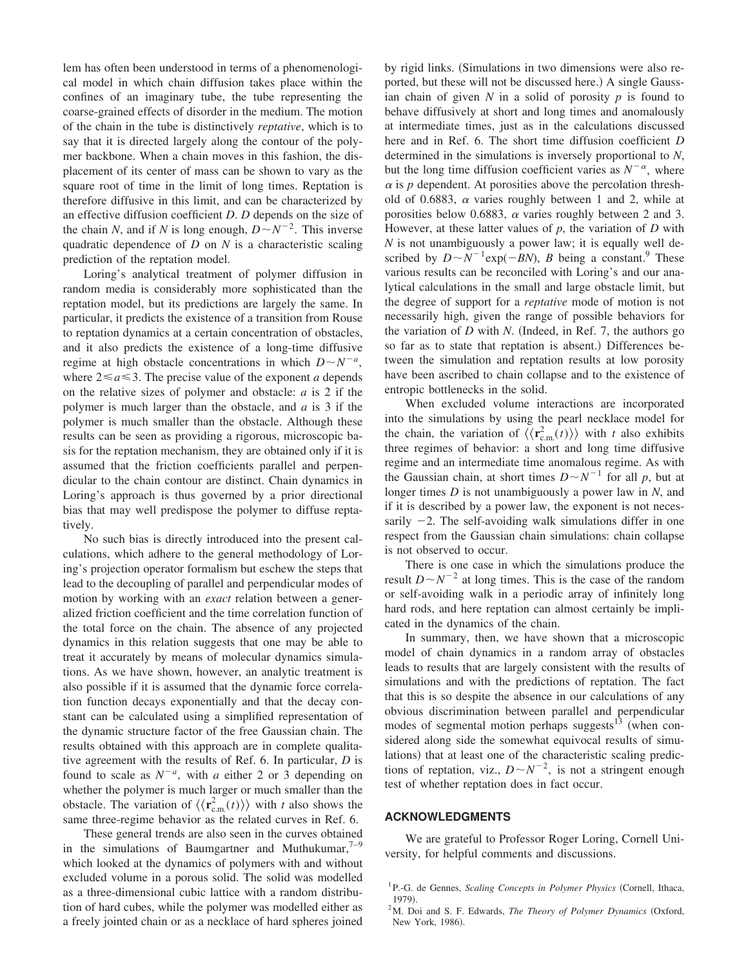lem has often been understood in terms of a phenomenological model in which chain diffusion takes place within the confines of an imaginary tube, the tube representing the coarse-grained effects of disorder in the medium. The motion of the chain in the tube is distinctively *reptative*, which is to say that it is directed largely along the contour of the polymer backbone. When a chain moves in this fashion, the displacement of its center of mass can be shown to vary as the square root of time in the limit of long times. Reptation is therefore diffusive in this limit, and can be characterized by an effective diffusion coefficient *D*. *D* depends on the size of the chain *N*, and if *N* is long enough,  $D \sim N^{-2}$ . This inverse quadratic dependence of *D* on *N* is a characteristic scaling prediction of the reptation model.

Loring's analytical treatment of polymer diffusion in random media is considerably more sophisticated than the reptation model, but its predictions are largely the same. In particular, it predicts the existence of a transition from Rouse to reptation dynamics at a certain concentration of obstacles, and it also predicts the existence of a long-time diffusive regime at high obstacle concentrations in which  $D \sim N^{-a}$ , where  $2 \le a \le 3$ . The precise value of the exponent *a* depends on the relative sizes of polymer and obstacle: *a* is 2 if the polymer is much larger than the obstacle, and *a* is 3 if the polymer is much smaller than the obstacle. Although these results can be seen as providing a rigorous, microscopic basis for the reptation mechanism, they are obtained only if it is assumed that the friction coefficients parallel and perpendicular to the chain contour are distinct. Chain dynamics in Loring's approach is thus governed by a prior directional bias that may well predispose the polymer to diffuse reptatively.

No such bias is directly introduced into the present calculations, which adhere to the general methodology of Loring's projection operator formalism but eschew the steps that lead to the decoupling of parallel and perpendicular modes of motion by working with an *exact* relation between a generalized friction coefficient and the time correlation function of the total force on the chain. The absence of any projected dynamics in this relation suggests that one may be able to treat it accurately by means of molecular dynamics simulations. As we have shown, however, an analytic treatment is also possible if it is assumed that the dynamic force correlation function decays exponentially and that the decay constant can be calculated using a simplified representation of the dynamic structure factor of the free Gaussian chain. The results obtained with this approach are in complete qualitative agreement with the results of Ref. 6. In particular, *D* is found to scale as  $N^{-a}$ , with *a* either 2 or 3 depending on whether the polymer is much larger or much smaller than the obstacle. The variation of  $\langle \langle \mathbf{r}_{c.m.}^2(t) \rangle \rangle$  with *t* also shows the same three-regime behavior as the related curves in Ref. 6.

These general trends are also seen in the curves obtained in the simulations of Baumgartner and Muthukumar, $7-9$ which looked at the dynamics of polymers with and without excluded volume in a porous solid. The solid was modelled as a three-dimensional cubic lattice with a random distribution of hard cubes, while the polymer was modelled either as a freely jointed chain or as a necklace of hard spheres joined by rigid links. (Simulations in two dimensions were also reported, but these will not be discussed here.) A single Gaussian chain of given  $N$  in a solid of porosity  $p$  is found to behave diffusively at short and long times and anomalously at intermediate times, just as in the calculations discussed here and in Ref. 6. The short time diffusion coefficient *D* determined in the simulations is inversely proportional to *N*, but the long time diffusion coefficient varies as  $N^{-\alpha}$ , where  $\alpha$  is  $p$  dependent. At porosities above the percolation threshold of 0.6883,  $\alpha$  varies roughly between 1 and 2, while at porosities below 0.6883,  $\alpha$  varies roughly between 2 and 3. However, at these latter values of *p*, the variation of *D* with *N* is not unambiguously a power law; it is equally well described by  $D \sim N^{-1} \exp(-BN)$ , *B* being a constant.<sup>9</sup> These various results can be reconciled with Loring's and our analytical calculations in the small and large obstacle limit, but the degree of support for a *reptative* mode of motion is not necessarily high, given the range of possible behaviors for the variation of  $D$  with  $N$ . (Indeed, in Ref. 7, the authors go so far as to state that reptation is absent.) Differences between the simulation and reptation results at low porosity have been ascribed to chain collapse and to the existence of entropic bottlenecks in the solid.

When excluded volume interactions are incorporated into the simulations by using the pearl necklace model for the chain, the variation of  $\langle \langle \mathbf{r}_{\text{c.m.}}^2(t) \rangle \rangle$  with *t* also exhibits three regimes of behavior: a short and long time diffusive regime and an intermediate time anomalous regime. As with the Gaussian chain, at short times  $D \sim N^{-1}$  for all *p*, but at longer times *D* is not unambiguously a power law in *N*, and if it is described by a power law, the exponent is not necessarily  $-2$ . The self-avoiding walk simulations differ in one respect from the Gaussian chain simulations: chain collapse is not observed to occur.

There is one case in which the simulations produce the result  $D \sim N^{-2}$  at long times. This is the case of the random or self-avoiding walk in a periodic array of infinitely long hard rods, and here reptation can almost certainly be implicated in the dynamics of the chain.

In summary, then, we have shown that a microscopic model of chain dynamics in a random array of obstacles leads to results that are largely consistent with the results of simulations and with the predictions of reptation. The fact that this is so despite the absence in our calculations of any obvious discrimination between parallel and perpendicular modes of segmental motion perhaps suggests $^{13}$  (when considered along side the somewhat equivocal results of simulations) that at least one of the characteristic scaling predictions of reptation, viz.,  $D \sim N^{-2}$ , is not a stringent enough test of whether reptation does in fact occur.

#### **ACKNOWLEDGMENTS**

We are grateful to Professor Roger Loring, Cornell University, for helpful comments and discussions.

<sup>&</sup>lt;sup>1</sup>P.-G. de Gennes, *Scaling Concepts in Polymer Physics* (Cornell, Ithaca, 1979).

<sup>&</sup>lt;sup>2</sup>M. Doi and S. F. Edwards, *The Theory of Polymer Dynamics* (Oxford, New York, 1986).